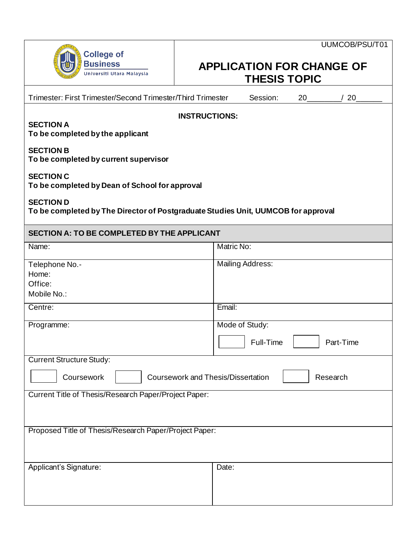| <b>College of</b><br><b>Business</b> |
|--------------------------------------|
| Universiti Utara Malaysia            |

## **APPLICATION FOR CHANGE OF THESIS TOPIC**

| Trimester: First Trimester/Second Trimester/Third Trimester                                           | Session:<br>20<br>20                     |  |  |  |
|-------------------------------------------------------------------------------------------------------|------------------------------------------|--|--|--|
| <b>INSTRUCTIONS:</b><br><b>SECTION A</b><br>To be completed by the applicant                          |                                          |  |  |  |
| <b>SECTION B</b><br>To be completed by current supervisor                                             |                                          |  |  |  |
| <b>SECTION C</b><br>To be completed by Dean of School for approval                                    |                                          |  |  |  |
| <b>SECTION D</b><br>To be completed by The Director of Postgraduate Studies Unit, UUMCOB for approval |                                          |  |  |  |
| <b>SECTION A: TO BE COMPLETED BY THE APPLICANT</b>                                                    |                                          |  |  |  |
| Name:                                                                                                 | Matric No:                               |  |  |  |
| Telephone No.-<br>Home:<br>Office:<br>Mobile No.:                                                     | <b>Mailing Address:</b>                  |  |  |  |
| Centre:                                                                                               | Email:                                   |  |  |  |
| Programme:                                                                                            | Mode of Study:<br>Full-Time<br>Part-Time |  |  |  |
| <b>Current Structure Study:</b>                                                                       |                                          |  |  |  |
| <b>Coursework and Thesis/Dissertation</b><br>Coursework<br>Research                                   |                                          |  |  |  |
| Current Title of Thesis/Research Paper/Project Paper:                                                 |                                          |  |  |  |
| Proposed Title of Thesis/Research Paper/Project Paper:                                                |                                          |  |  |  |
| Applicant's Signature:                                                                                | Date:                                    |  |  |  |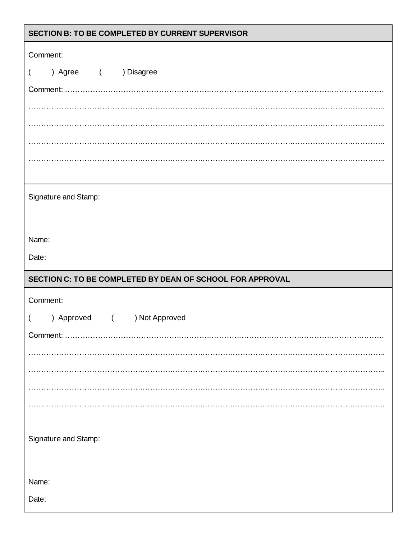| SECTION B: TO BE COMPLETED BY CURRENT SUPERVISOR          |
|-----------------------------------------------------------|
| Comment:                                                  |
| ) Agree ( ) Disagree<br>$\overline{\mathcal{L}}$          |
|                                                           |
|                                                           |
|                                                           |
|                                                           |
|                                                           |
|                                                           |
| Signature and Stamp:                                      |
|                                                           |
| Name:                                                     |
| Date:                                                     |
|                                                           |
| SECTION C: TO BE COMPLETED BY DEAN OF SCHOOL FOR APPROVAL |
|                                                           |
| Comment:                                                  |
| ) Approved ( ) Not Approved                               |
|                                                           |
|                                                           |
|                                                           |
|                                                           |
|                                                           |
|                                                           |
| Signature and Stamp:                                      |
|                                                           |
| Name:                                                     |